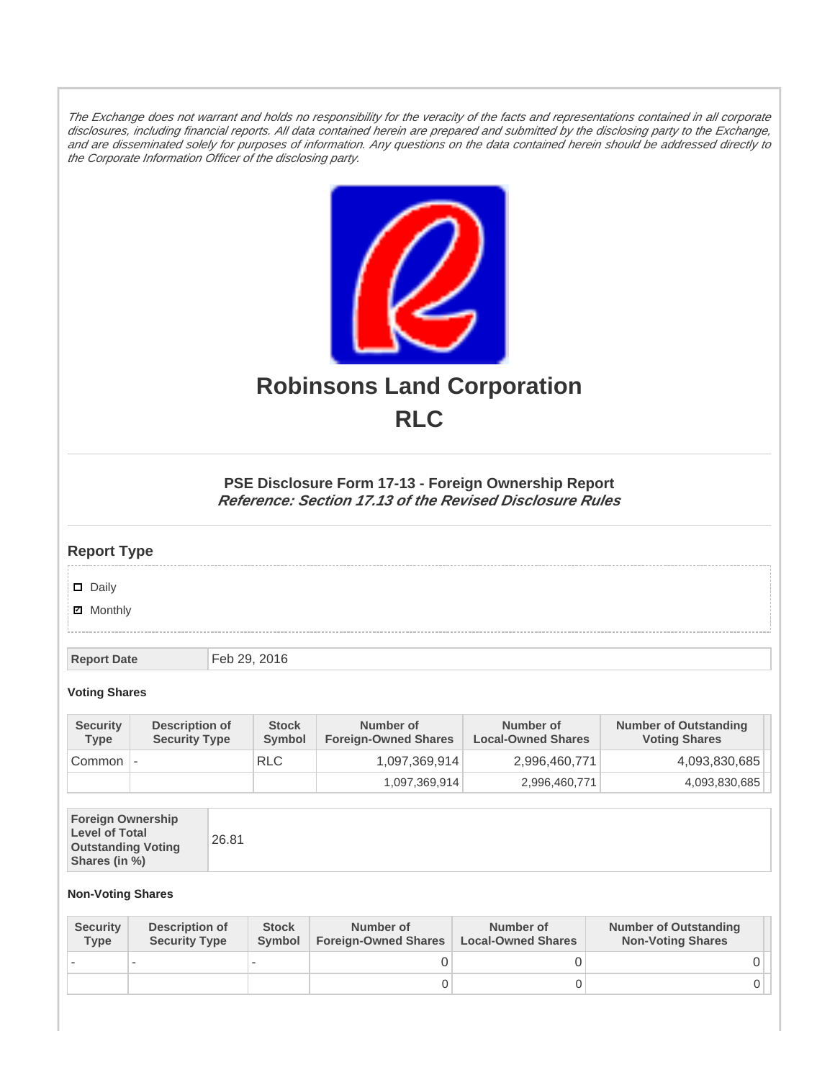The Exchange does not warrant and holds no responsibility for the veracity of the facts and representations contained in all corporate disclosures, including financial reports. All data contained herein are prepared and submitted by the disclosing party to the Exchange, and are disseminated solely for purposes of information. Any questions on the data contained herein should be addressed directly to the Corporate Information Officer of the disclosing party.



# **Robinsons Land Corporation RLC**

## **PSE Disclosure Form 17-13 - Foreign Ownership Report Reference: Section 17.13 of the Revised Disclosure Rules**

## **Report Type**

Daily

**Ø** Monthly

**Report Date** Feb 29, 2016

#### **Voting Shares**

| <b>Security</b><br><b>Type</b> | Description of<br><b>Security Type</b> | <b>Stock</b><br>Symbol | Number of<br><b>Foreign-Owned Shares</b> | Number of<br><b>Local-Owned Shares</b> | <b>Number of Outstanding</b><br><b>Voting Shares</b> |
|--------------------------------|----------------------------------------|------------------------|------------------------------------------|----------------------------------------|------------------------------------------------------|
| Common                         | $\overline{\phantom{a}}$               | <b>RLC</b>             | 1,097,369,914                            | 2,996,460,771                          | 4,093,830,685                                        |
|                                |                                        |                        | 1,097,369,914                            | 2,996,460,771                          | 4,093,830,685                                        |

| <b>Foreign Ownership</b><br><b>Level of Total</b><br><b>Outstanding Voting</b><br>Shares (in %) |
|-------------------------------------------------------------------------------------------------|
|-------------------------------------------------------------------------------------------------|

### **Non-Voting Shares**

| <b>Security</b><br><b>Type</b> | Description of<br><b>Security Type</b> | <b>Stock</b><br><b>Symbol</b> | Number of<br><b>Foreign-Owned Shares</b> | Number of<br><b>Local-Owned Shares</b> | <b>Number of Outstanding</b><br><b>Non-Voting Shares</b> |
|--------------------------------|----------------------------------------|-------------------------------|------------------------------------------|----------------------------------------|----------------------------------------------------------|
|                                |                                        |                               |                                          |                                        |                                                          |
|                                |                                        |                               | O                                        |                                        |                                                          |